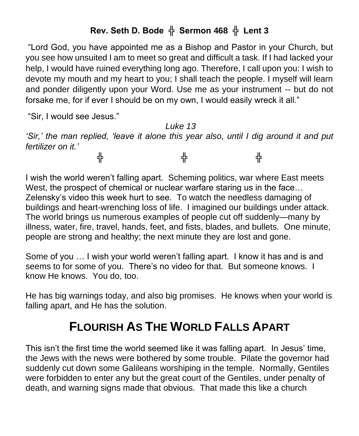## **Rev. Seth D. Bode ╬ Sermon 468 ╬ Lent 3**

"Lord God, you have appointed me as a Bishop and Pastor in your Church, but you see how unsuited I am to meet so great and difficult a task. If I had lacked your help, I would have ruined everything long ago. Therefore, I call upon you: I wish to devote my mouth and my heart to you; I shall teach the people. I myself will learn and ponder diligently upon your Word. Use me as your instrument -- but do not forsake me, for if ever I should be on my own, I would easily wreck it all."

"Sir, I would see Jesus."

*Luke 13 'Sir,' the man replied, 'leave it alone this year also, until I dig around it and put fertilizer on it.'* ╬ ╬ ╬ ╬

I wish the world weren't falling apart. Scheming politics, war where East meets West, the prospect of chemical or nuclear warfare staring us in the face… Zelensky's video this week hurt to see. To watch the needless damaging of buildings and heart-wrenching loss of life. I imagined our buildings under attack. The world brings us numerous examples of people cut off suddenly—many by illness, water, fire, travel, hands, feet, and fists, blades, and bullets. One minute, people are strong and healthy; the next minute they are lost and gone.

Some of you … I wish your world weren't falling apart. I know it has and is and seems to for some of you. There's no video for that. But someone knows. I know He knows. You do, too.

He has big warnings today, and also big promises. He knows when your world is falling apart, and He has the solution.

## **FLOURISH AS THE WORLD FALLS APART**

This isn't the first time the world seemed like it was falling apart. In Jesus' time, the Jews with the news were bothered by some trouble. Pilate the governor had suddenly cut down some Galileans worshiping in the temple. Normally, Gentiles were forbidden to enter any but the great court of the Gentiles, under penalty of death, and warning signs made that obvious. That made this like a church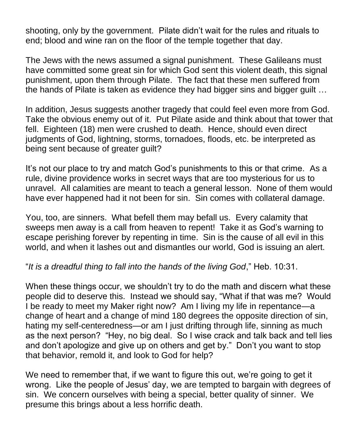shooting, only by the government. Pilate didn't wait for the rules and rituals to end; blood and wine ran on the floor of the temple together that day.

The Jews with the news assumed a signal punishment. These Galileans must have committed some great sin for which God sent this violent death, this signal punishment, upon them through Pilate. The fact that these men suffered from the hands of Pilate is taken as evidence they had bigger sins and bigger guilt …

In addition, Jesus suggests another tragedy that could feel even more from God. Take the obvious enemy out of it. Put Pilate aside and think about that tower that fell. Eighteen (18) men were crushed to death. Hence, should even direct judgments of God, lightning, storms, tornadoes, floods, etc. be interpreted as being sent because of greater guilt?

It's not our place to try and match God's punishments to this or that crime. As a rule, divine providence works in secret ways that are too mysterious for us to unravel. All calamities are meant to teach a general lesson. None of them would have ever happened had it not been for sin. Sin comes with collateral damage.

You, too, are sinners. What befell them may befall us. Every calamity that sweeps men away is a call from heaven to repent! Take it as God's warning to escape perishing forever by repenting in time. Sin is the cause of all evil in this world, and when it lashes out and dismantles our world, God is issuing an alert.

"*It is a dreadful thing to fall into the hands of the living God*," Heb. 10:31.

When these things occur, we shouldn't try to do the math and discern what these people did to deserve this. Instead we should say, "What if that was me? Would I be ready to meet my Maker right now? Am I living my life in repentance—a change of heart and a change of mind 180 degrees the opposite direction of sin, hating my self-centeredness—or am I just drifting through life, sinning as much as the next person? "Hey, no big deal. So I wise crack and talk back and tell lies and don't apologize and give up on others and get by." Don't you want to stop that behavior, remold it, and look to God for help?

We need to remember that, if we want to figure this out, we're going to get it wrong. Like the people of Jesus' day, we are tempted to bargain with degrees of sin. We concern ourselves with being a special, better quality of sinner. We presume this brings about a less horrific death.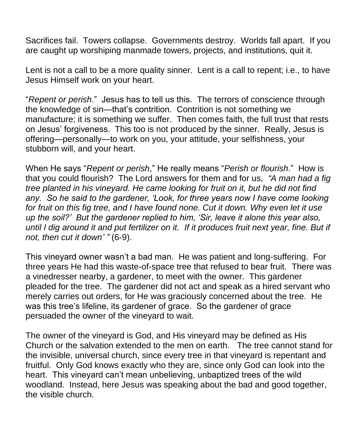Sacrifices fail. Towers collapse. Governments destroy. Worlds fall apart. If you are caught up worshiping manmade towers, projects, and institutions, quit it.

Lent is not a call to be a more quality sinner. Lent is a call to repent; i.e., to have Jesus Himself work on your heart.

"*Repent or perish*." Jesus has to tell us this. The terrors of conscience through the knowledge of sin—that's contrition. Contrition is not something we manufacture; it is something we suffer. Then comes faith, the full trust that rests on Jesus' forgiveness. This too is not produced by the sinner. Really, Jesus is offering—personally—to work on you, your attitude, your selfishness, your stubborn will, and your heart.

When He says "*Repent or perish*," He really means "*Perish or flourish*." How is that you could flourish? The Lord answers for them and for us, *"A man had a fig tree planted in his vineyard. He came looking for fruit on it, but he did not find any. So he said to the gardener, 'Look, for three years now I have come looking*  for fruit on this fig tree, and I have found none. Cut it down. Why even let it use *up the soil?' But the gardener replied to him, 'Sir, leave it alone this year also, until I dig around it and put fertilizer on it. If it produces fruit next year, fine. But if not, then cut it down' "* (6-9).

This vineyard owner wasn't a bad man. He was patient and long-suffering. For three years He had this waste-of-space tree that refused to bear fruit. There was a vinedresser nearby, a gardener, to meet with the owner. This gardener pleaded for the tree. The gardener did not act and speak as a hired servant who merely carries out orders, for He was graciously concerned about the tree. He was this tree's lifeline, its gardener of grace. So the gardener of grace persuaded the owner of the vineyard to wait.

The owner of the vineyard is God, and His vineyard may be defined as His Church or the salvation extended to the men on earth. The tree cannot stand for the invisible, universal church, since every tree in that vineyard is repentant and fruitful. Only God knows exactly who they are, since only God can look into the heart. This vineyard can't mean unbelieving, unbaptized trees of the wild woodland. Instead, here Jesus was speaking about the bad and good together, the visible church.